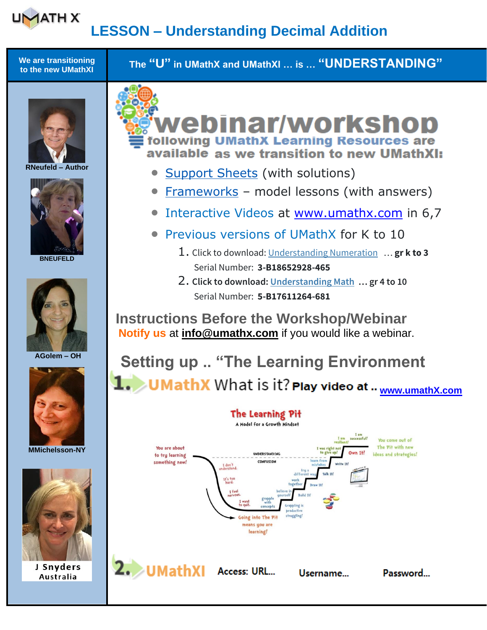#### **UMATH X LESSON – Understanding Decimal Addition**

**We are transitioning to the new UMathXI The "U" in UMathX and UMathXI … is … "UNDERSTANDING"**



**RNeufeld – Author**



**BNEUFELD**







**MMichelsson-NY**



J Snyders Australia



- [Support Sheets](https://www.umathx.com/support-sheets/) (with solutions)
- [Frameworks](https://www.umathx.com/umathx-frameworks/) model lessons (with answers)
- Interactive Videos at [www.umathx.com](http://www.umathx.com/) in 6,7
- Previous versions of UMathX for K to 10
	- 1. Click to download: [Understanding Numeration](https://www.umathx.com/UNum08.exe) … **gr k to 3** Serial Number: **3-B18652928-465**
	- 2. **Click to download: [Understanding Math](https://www.umathx.com/Umath08.exe) … gr 4 to 10** Serial Number: **5-B17611264-681**

 **Instructions Before the Workshop/Webinar Notify us** at **[info@umathx.com](mailto:info@umathx.com)** if you would like a webinar.

# **Setting up .. "The Learning Environment 1.** UMathX What is it? Play video at .. [www.umathX.com](http://www.umathx.com/)

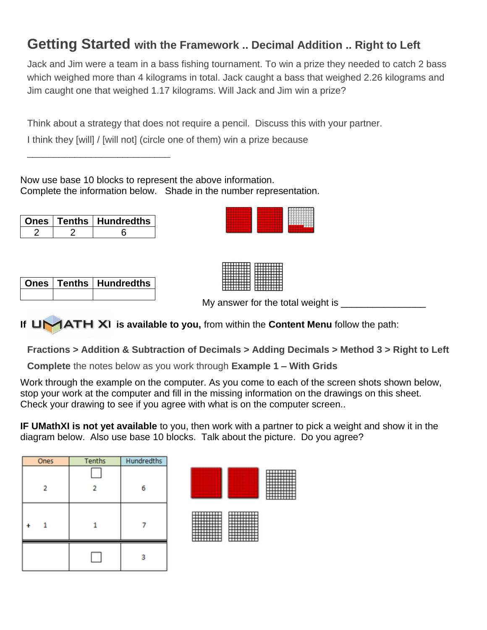#### **Getting Started with the Framework .. Decimal Addition .. Right to Left**

Jack and Jim were a team in a bass fishing tournament. To win a prize they needed to catch 2 bass which weighed more than 4 kilograms in total. Jack caught a bass that weighed 2.26 kilograms and Jim caught one that weighed 1.17 kilograms. Will Jack and Jim win a prize?

Think about a strategy that does not require a pencil. Discuss this with your partner.

I think they [will] / [will not] (circle one of them) win a prize because

Now use base 10 blocks to represent the above information. Complete the information below. Shade in the number representation.

|  | <b>Ones   Tenths   Hundredths</b> |
|--|-----------------------------------|
|  |                                   |

\_\_\_\_\_\_\_\_\_\_\_\_\_\_\_\_\_\_\_\_\_\_\_\_\_\_\_

|  | Ones   Tenths   Hundredths |
|--|----------------------------|
|  |                            |

My answer for the total weight is  $\Box$ 

**If UMATH XI is available to you, from within the <b>Content Menu** follow the path:

**Fractions > Addition & Subtraction of Decimals > Adding Decimals > Method 3 > Right to Left**

**Complete** the notes below as you work through **Example 1 – With Grids**

Work through the example on the computer. As you come to each of the screen shots shown below, stop your work at the computer and fill in the missing information on the drawings on this sheet. Check your drawing to see if you agree with what is on the computer screen..

**IF UMathXI is not yet available** to you, then work with a partner to pick a weight and show it in the diagram below. Also use base 10 blocks. Talk about the picture. Do you agree?

| Ones           | <b>Tenths</b> | <b>Hundredths</b> |
|----------------|---------------|-------------------|
| $\overline{2}$ |               | 6                 |
|                |               |                   |
|                |               |                   |
|                |               |                   |



| <del></del><br>T | 11111111 |
|------------------|----------|
|                  |          |
|                  |          |
|                  |          |